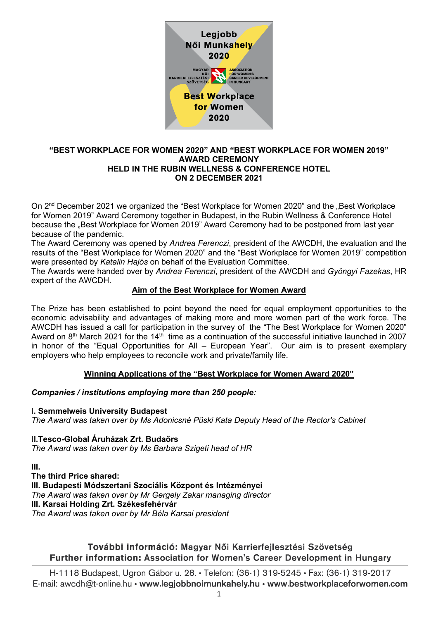

### **"BEST WORKPLACE FOR WOMEN 2020" AND "BEST WORKPLACE FOR WOMEN 2019" AWARD CEREMONY HELD IN THE RUBIN WELLNESS & CONFERENCE HOTEL ON 2 DECEMBER 2021**

On 2<sup>nd</sup> December 2021 we organized the "Best Workplace for Women 2020" and the "Best Workplace for Women 2019" Award Ceremony together in Budapest, in the Rubin Wellness & Conference Hotel because the "Best Workplace for Women 2019" Award Ceremony had to be postponed from last year because of the pandemic.

The Award Ceremony was opened by *Andrea Ferenczi*, president of the AWCDH, the evaluation and the results of the "Best Workplace for Women 2020" and the "Best Workplace for Women 2019" competition were presented by *Katalin Hajós* on behalf of the Evaluation Committee.

The Awards were handed over by *Andrea Ferenczi*, president of the AWCDH and *Gyöngyi Fazekas*, HR expert of the AWCDH.

### **Aim of the Best Workplace for Women Award**

The Prize has been established to point beyond the need for equal employment opportunities to the economic advisability and advantages of making more and more women part of the work force. The AWCDH has issued a call for participation in the survey of the "The Best Workplace for Women 2020" Award on  $8<sup>th</sup>$  March 2021 for the 14<sup>th</sup> time as a continuation of the successful initiative launched in 2007 in honor of the "Equal Opportunities for All – European Year". Our aim is to present exemplary employers who help employees to reconcile work and private/family life.

### **Winning Applications of the "Best Workplace for Women Award 2020"**

### *Companies / institutions employing more than 250 people:*

**I. Semmelweis University Budapest** *The Award was taken over by Ms Adonicsné Püski Kata Deputy Head of the Rector's Cabinet*

**II.Tesco-Global Áruházak Zrt. Budaörs** *The Award was taken over by Ms Barbara Szigeti head of HR*

**III.**

**The third Price shared: III. Budapesti Módszertani Szociális Központ és Intézményei** *The Award was taken over by Mr Gergely Zakar managing director* **III. Karsai Holding Zrt. Székesfehérvár** *The Award was taken over by Mr Béla Karsai president*

# További információ: Magyar Női Karrierfejlesztési Szövetség Further information: Association for Women's Career Development in Hungary

H-1118 Budapest, Ugron Gábor u. 28. • Telefon: (36-1) 319-5245 • Fax: (36-1) 319-2017 E-mail: awcdh@t-online.hu • www.legjobbnoimunkahely.hu • www.bestworkplaceforwomen.com